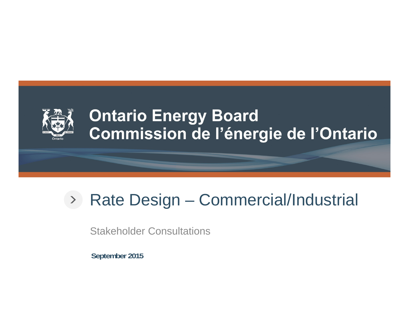

#### **Ontario Energy Board** Commission de l'énergie de l'Ontario

#### Rate Design – Commercial/Industrial

Stakeholder Consultations

**September 2015**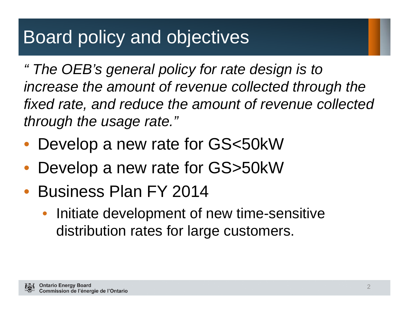## Board policy and objectives

*" The OEB's general policy for rate design is to increase the amount of revenue collected through the fixed rate, and reduce the amount of revenue collected through the usage rate."*

- Develop a new rate for GS<50kW
- •Develop a new rate for GS>50kW
- Business Plan FY 2014
	- $\bullet$  Initiate development of new time-sensitive distribution rates for large customers.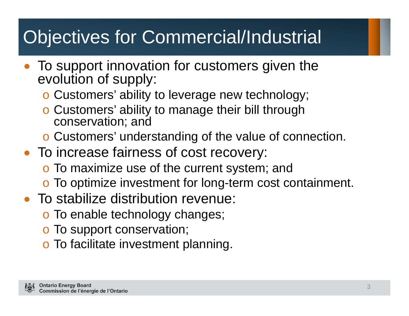# Objectives for Commercial/Industrial

- To support innovation for customers given the evolution of supply:
	- o Customers' ability to leverage new technology;
	- o Customers' ability to manage their bill through conservation; and
	- o Customers' understanding of the value of connection.
- To increase fairness of cost recovery:
	- o To maximize use of the current system; and
	- o To optimize investment for long-term cost containment.
- To stabilize distribution revenue:
	- o To enable technology changes;
	- o To support conservation;
	- o To facilitate investment planning.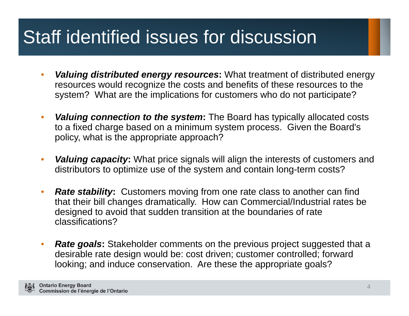## Staff identified issues for discussion

- • *Valuing distributed energy resources***:** What treatment of distributed energy resources would recognize the costs and benefits of these resources to the system? What are the implications for customers who do not participate?
- $\bullet$  *Valuing connection to the system***:** The Board has typically allocated costs to a fixed charge based on a minimum system process. Given the Board's policy, what is the appropriate approach?
- $\bullet$  *Valuing capacity***:** What price signals will align the interests of customers and distributors to optimize use of the system and contain long-term costs?
- $\bullet$ *Rate stability:* Customers moving from one rate class to another can find that their bill changes dramatically. How can Commercial/Industrial rates be designed to avoid that sudden transition at the boundaries of rate classifications?
- •*Rate goals:* Stakeholder comments on the previous project suggested that a desirable rate design would be: cost driven; customer controlled; forward looking; and induce conservation. Are these the appropriate goals?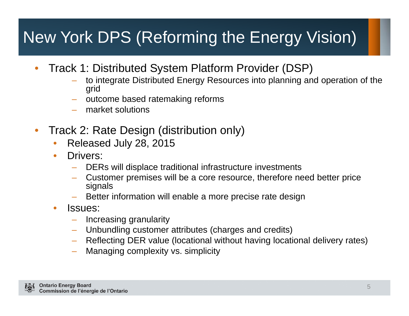#### New York DPS (Reforming the Energy Vision)

- • Track 1: Distributed System Platform Provider (DSP)
	- to integrate Distributed Energy Resources into planning and operation of the grid
	- outcome based ratemaking reforms
	- market solutions
- • Track 2: Rate Design (distribution only)
	- •Released July 28, 2015
	- $\bullet$  Drivers:
		- DERs will displace traditional infrastructure investments
		- Customer premises will be a core resource, therefore need better price signals
		- Better information will enable a more precise rate design
	- • Issues:
		- Increasing granularity
		- Unbundling customer attributes (charges and credits)
		- Reflecting DER value (locational without having locational delivery rates)
		- Managing complexity vs. simplicity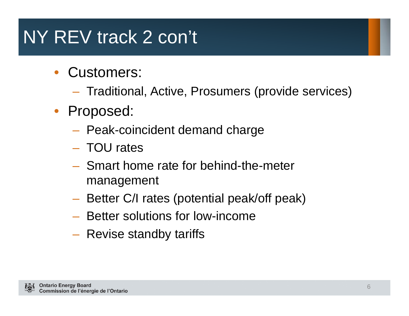# NY REV track 2 con't

- Customers:
	- Traditional, Active, Prosumers (provide services)
- Proposed:
	- Peak-coincident demand charge
	- TOU rates
	- Smart home rate for behind-the-meter management
	- –Better C/I rates (potential peak/off peak)
	- Better solutions for low-income
	- Revise standby tariffs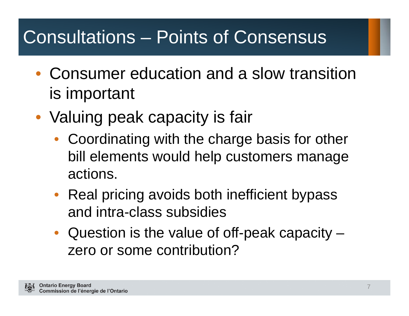## Consultations – Points of Consensus

- Consumer education and a slow transition is important
- Valuing peak capacity is fair
	- Coordinating with the charge basis for other bill elements would help customers manage actions.
	- Real pricing avoids both inefficient bypass and intra-class subsidies
	- Question is the value of off-peak capacity zero or some contribution?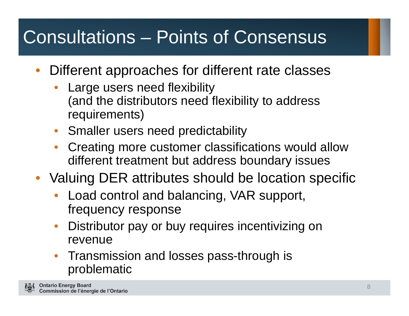# Consultations – Points of Consensus

- $\bullet$  Different approaches for different rate classes
	- • Large users need flexibility (and the distributors need flexibility to address requirements)
	- •Smaller users need predictability
	- • Creating more customer classifications would allow different treatment but address boundary issues
- Valuing DER attributes should be location specific
	- • Load control and balancing, VAR support, frequency response
	- • Distributor pay or buy requires incentivizing on revenue
	- • Transmission and losses pass-through is problematic